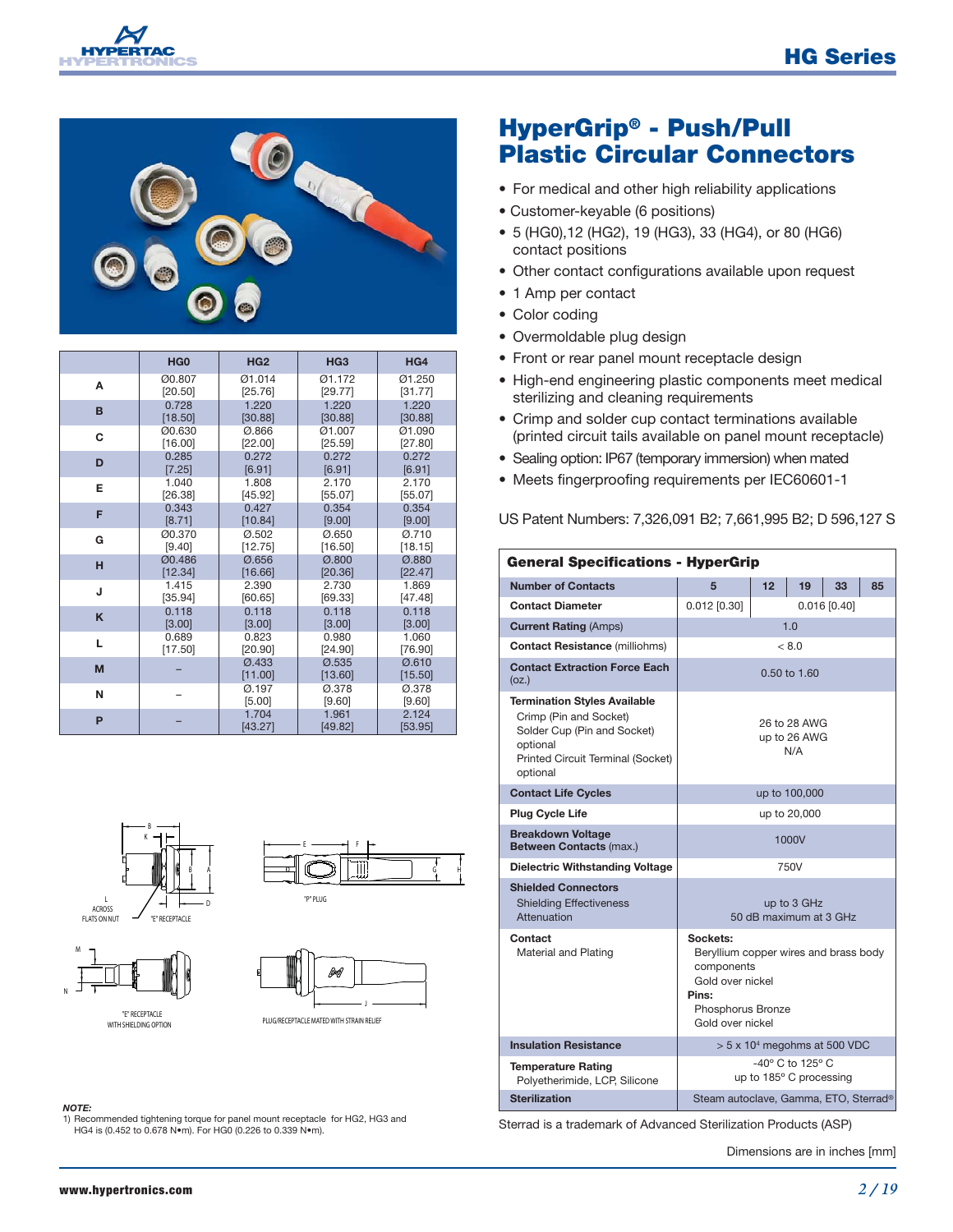



|   | HG <sub>0</sub> | HG <sub>2</sub>         | HG <sub>3</sub>         | HG4              |
|---|-----------------|-------------------------|-------------------------|------------------|
| А | Ø0.807          | Ø1.014                  | 01.172                  | 01.250           |
|   | [20.50]         | [25.76]                 | [29.77]                 | [31.77]          |
| в | 0.728           | 1.220                   | 1.220                   | 1.220            |
|   | [18.50]         | [30.88]                 | [30.88]                 | [30.88]          |
| C | Ø0.630          | Ø.866                   | Ø1.007                  | Ø1.090           |
|   | [16.00]         | [22.00]                 | [25.59]                 | [27.80]          |
| D | 0.285           | 0.272                   | 0.272                   | 0.272            |
|   | $[7.25]$        | [6.91]                  | [6.91]                  | [6.91]           |
| E | 1.040           | 1.808                   | 2.170                   | 2.170            |
|   | [26.38]         | [45.92]                 | [55.07]                 | [55.07]          |
| F | 0.343           | 0.427                   | 0.354                   | 0.354            |
|   | [8.71]          | [10.84]                 | [9.00]                  | [9.00]           |
| G | Ø0.370          | 0.502                   | Ø.650                   | Ø.710            |
|   | [9.40]          | [12.75]                 | [16.50]                 | [18.15]          |
| н | <b>Ø0.486</b>   | $\varnothing$ .656      | $\varnothing$ .800      | <b>Ø.880</b>     |
|   | [12.34]         | [16.66]                 | [20.36]                 | [22.47]          |
| J | 1.415           | 2.390                   | 2.730                   | 1.869            |
|   | [35.94]         | [60.65]                 | [69.33]                 | [47.48]          |
| K | 0.118           | 0.118                   | 0.118                   | 0.118            |
|   | [3.00]          | [3.00]                  | [3.00]                  | [3.00]           |
| L | 0.689           | 0.823                   | 0.980                   | 1.060            |
|   | [17.50]         | [20.90]                 | [24.90]                 | [76.90]          |
| M |                 | <b>Ø.433</b><br>[11.00] | <b>Ø.535</b><br>[13.60] | Ø.610<br>[15.50] |
| N |                 | Ø.197<br>[5.00]         | 0.378<br>[9.60]         | 0.378<br>[9.60]  |
| P |                 | 1.704<br>[43.27]        | 1.961<br>[49.82]        | 2.124<br>[53.95] |









#### *NOTE:*

1) Recommended tightening torque for panel mount receptacle for HG2, HG3 and HG4 is (0.452 to 0.678 N•m). For HG0 (0.226 to 0.339 N•m).

## **HyperGrip® - Push/Pull Plastic Circular Connectors**

- For medical and other high reliability applications
- Customer-keyable (6 positions)
- 5 (HG0),12 (HG2), 19 (HG3), 33 (HG4), or 80 (HG6) contact positions
- Other contact configurations available upon request
- 1 Amp per contact
- Color coding
- Overmoldable plug design
- Front or rear panel mount receptacle design
- High-end engineering plastic components meet medical sterilizing and cleaning requirements
- Crimp and solder cup contact terminations available (printed circuit tails available on panel mount receptacle)
- Sealing option: IP67 (temporary immersion) when mated
- Meets fingerproofing requirements per IEC60601-1

US Patent Numbers: 7,326,091 B2; 7,661,995 B2; D 596,127 S

| <b>General Specifications - HyperGrip</b>                                                                                                                 |                                                                                                                                       |                                     |    |    |    |
|-----------------------------------------------------------------------------------------------------------------------------------------------------------|---------------------------------------------------------------------------------------------------------------------------------------|-------------------------------------|----|----|----|
| <b>Number of Contacts</b>                                                                                                                                 | 5                                                                                                                                     | 12                                  | 19 | 33 | 85 |
| <b>Contact Diameter</b>                                                                                                                                   | $0.012$ [0.30]<br>$0.016$ [0.40]                                                                                                      |                                     |    |    |    |
| <b>Current Rating (Amps)</b>                                                                                                                              | 1.0                                                                                                                                   |                                     |    |    |    |
| <b>Contact Resistance (milliohms)</b>                                                                                                                     | < 8.0                                                                                                                                 |                                     |    |    |    |
| <b>Contact Extraction Force Each</b><br>(oz.)                                                                                                             | 0.50 to 1.60                                                                                                                          |                                     |    |    |    |
| <b>Termination Styles Available</b><br>Crimp (Pin and Socket)<br>Solder Cup (Pin and Socket)<br>optional<br>Printed Circuit Terminal (Socket)<br>optional | 26 to 28 AWG<br>up to 26 AWG<br>N/A                                                                                                   |                                     |    |    |    |
| <b>Contact Life Cycles</b>                                                                                                                                |                                                                                                                                       | up to 100,000                       |    |    |    |
| <b>Plug Cycle Life</b>                                                                                                                                    | up to 20,000                                                                                                                          |                                     |    |    |    |
| <b>Breakdown Voltage</b><br>Between Contacts (max.)                                                                                                       | 1000V                                                                                                                                 |                                     |    |    |    |
| <b>Dielectric Withstanding Voltage</b>                                                                                                                    | 750V                                                                                                                                  |                                     |    |    |    |
| <b>Shielded Connectors</b><br><b>Shielding Effectiveness</b><br>Attenuation                                                                               | up to 3 GHz<br>50 dB maximum at 3 GHz                                                                                                 |                                     |    |    |    |
| Contact<br>Material and Plating                                                                                                                           | Sockets:<br>Beryllium copper wires and brass body<br>components<br>Gold over nickel<br>Pins:<br>Phosphorus Bronze<br>Gold over nickel |                                     |    |    |    |
| <b>Insulation Resistance</b>                                                                                                                              |                                                                                                                                       | $> 5 \times 104$ megohms at 500 VDC |    |    |    |
| <b>Temperature Rating</b><br>Polyetherimide, LCP, Silicone                                                                                                | $-40^\circ$ C to 125 $^\circ$ C<br>up to 185° C processing                                                                            |                                     |    |    |    |
| <b>Sterilization</b>                                                                                                                                      | Steam autoclave, Gamma, ETO, Sterrad®                                                                                                 |                                     |    |    |    |

Sterrad is a trademark of Advanced Sterilization Products (ASP)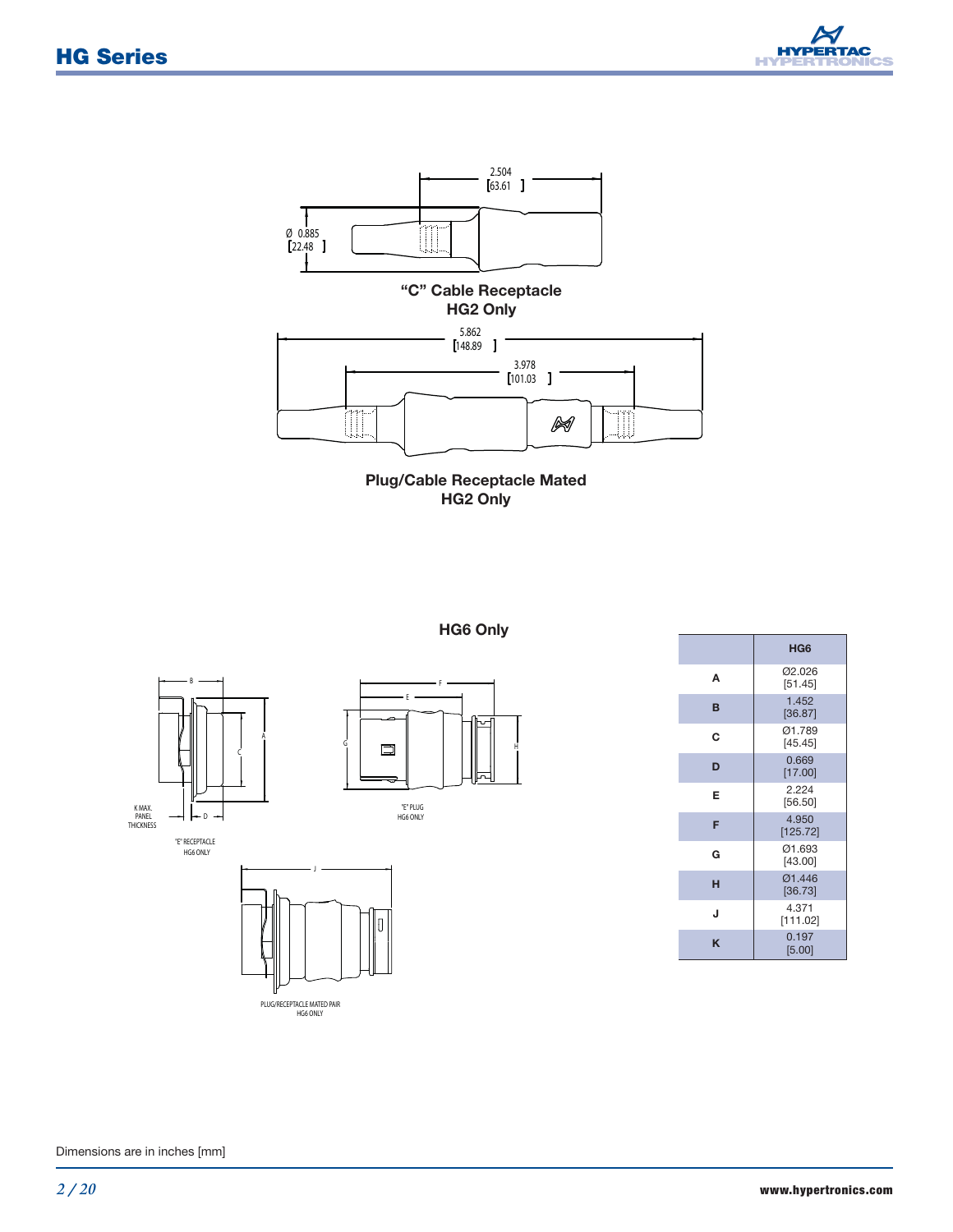





#### **HG6 Only**

E

"E" PLUG HG6 ONLY

 $\Box$ 

F



"E" RECEPTACLE HG6 ONLY



|   | HG <sub>6</sub>   |
|---|-------------------|
| A | 02.026<br>[51.45] |
| B | 1,452<br>[36.87]  |
| С | 01.789<br>[45.45] |
| D | 0.669<br>[17.00]  |
| Е | 2.224<br>[56.50]  |
| F | 4.950<br>[125.72] |
| G | 01.693<br>[43.00] |
| н | 01.446<br>[36.73] |
| J | 4.371<br>[111.02] |
| K | 0.197<br>[5.00]   |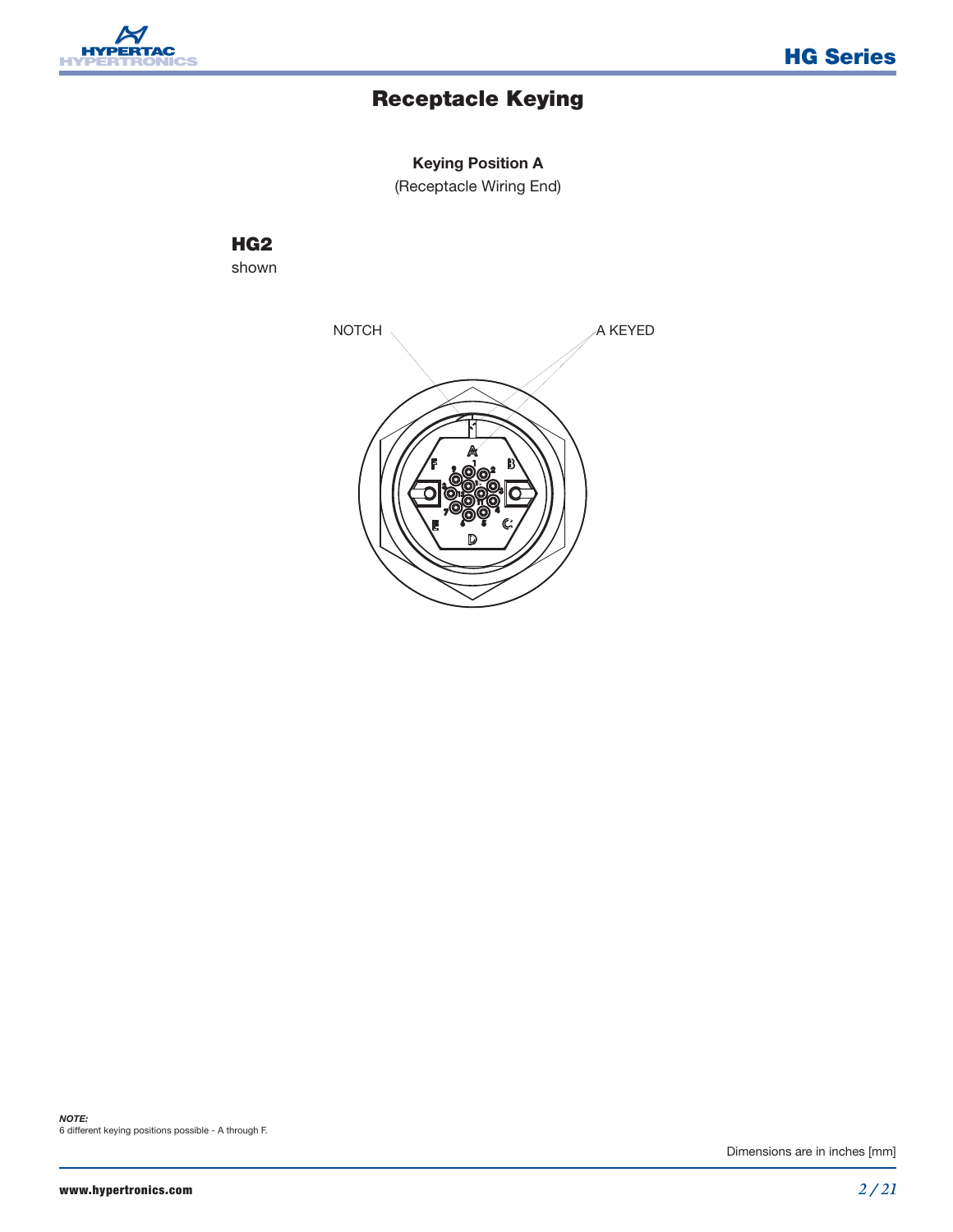

## **Receptacle Keying**

### **Keying Position A**

(Receptacle Wiring End)

#### **HG2** shown

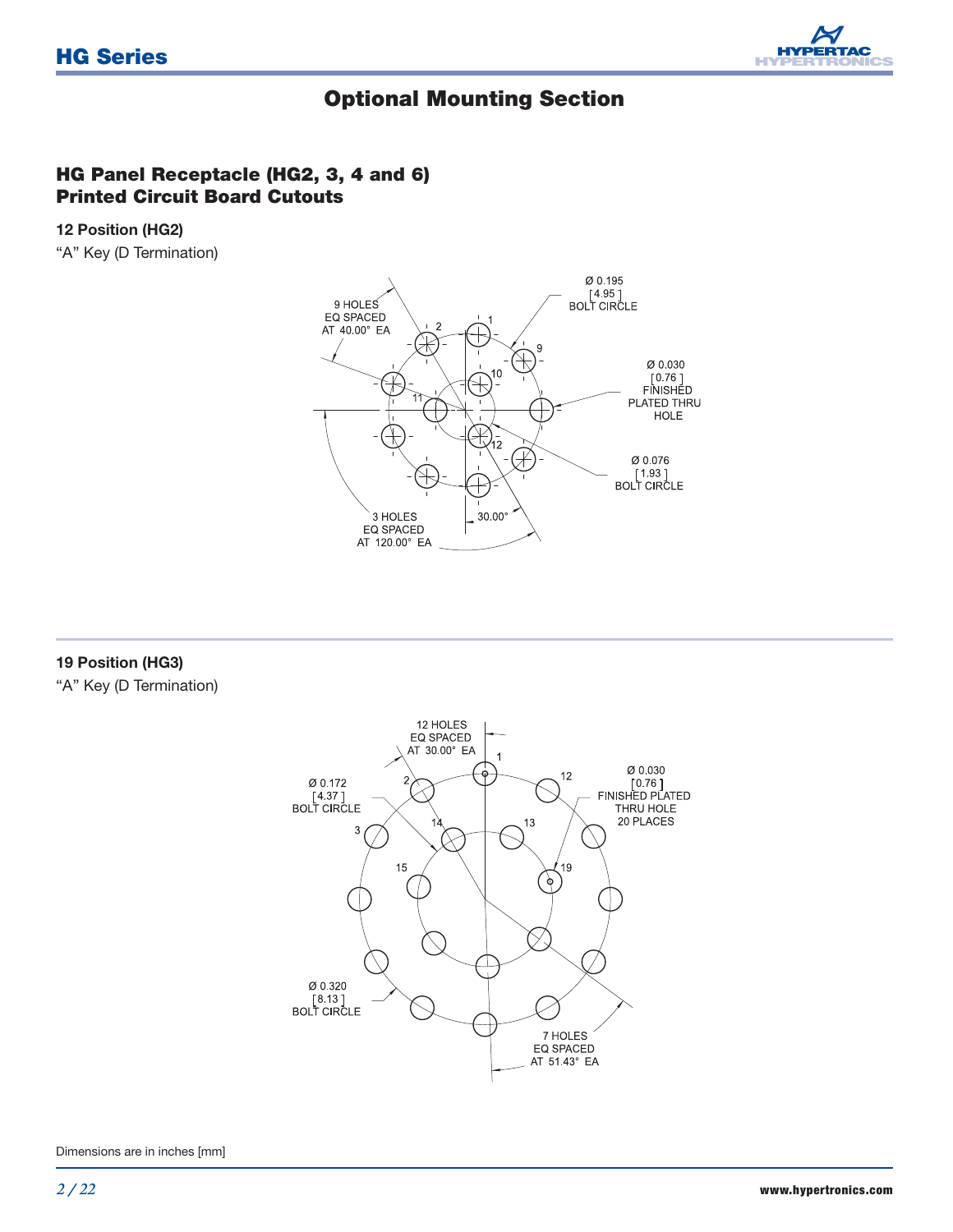

### **Optional Mounting Section**

### **HG Panel Receptacle (HG2, 3, 4 and 6) Printed Circuit Board Cutouts**

#### **12 Position (HG2)**

"A" Key (D Termination)



#### **19 Position (HG3)**

"A" Key (D Termination)

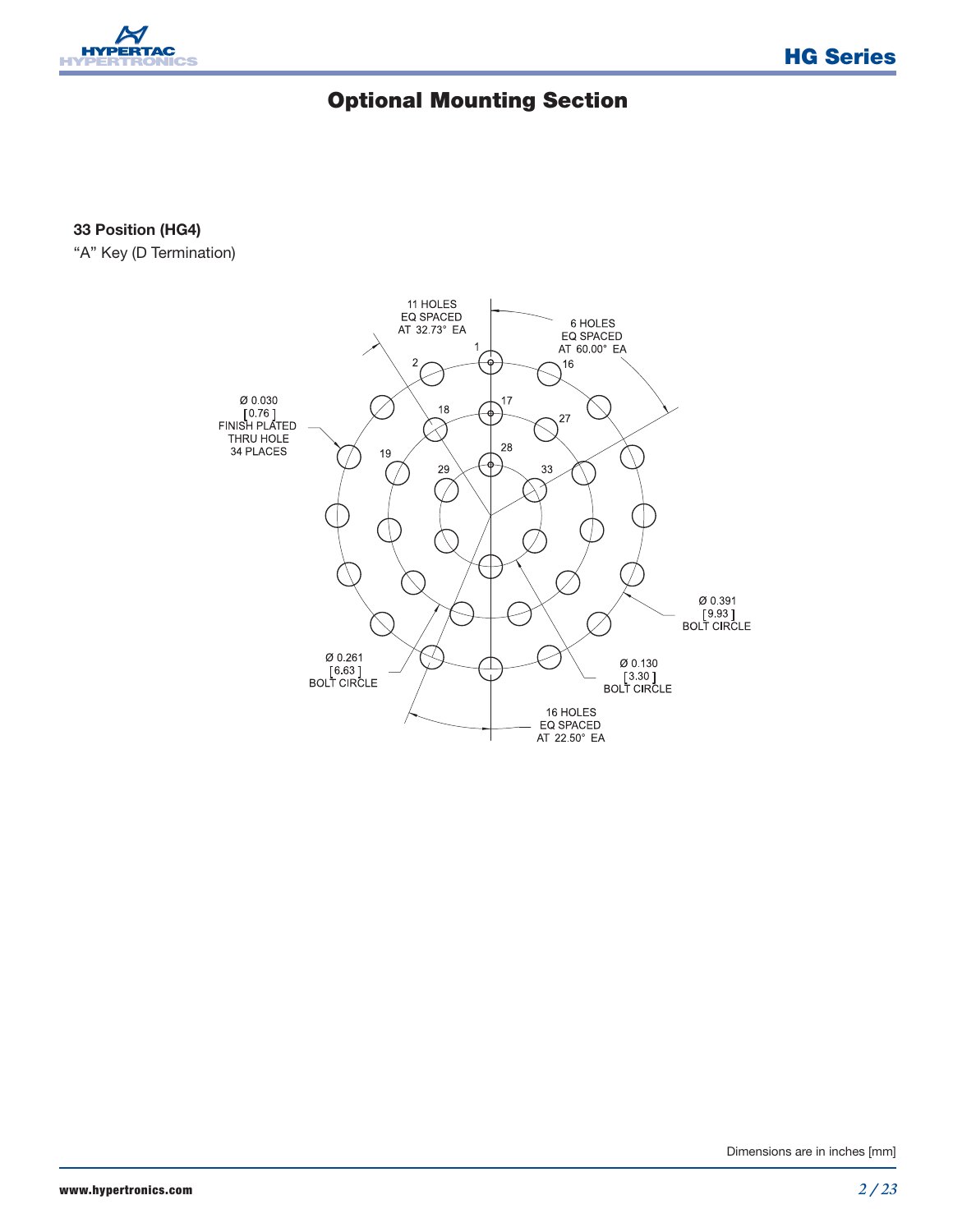

# **Optional Mounting Section**

**33 Position (HG4)**

"A" Key (D Termination)

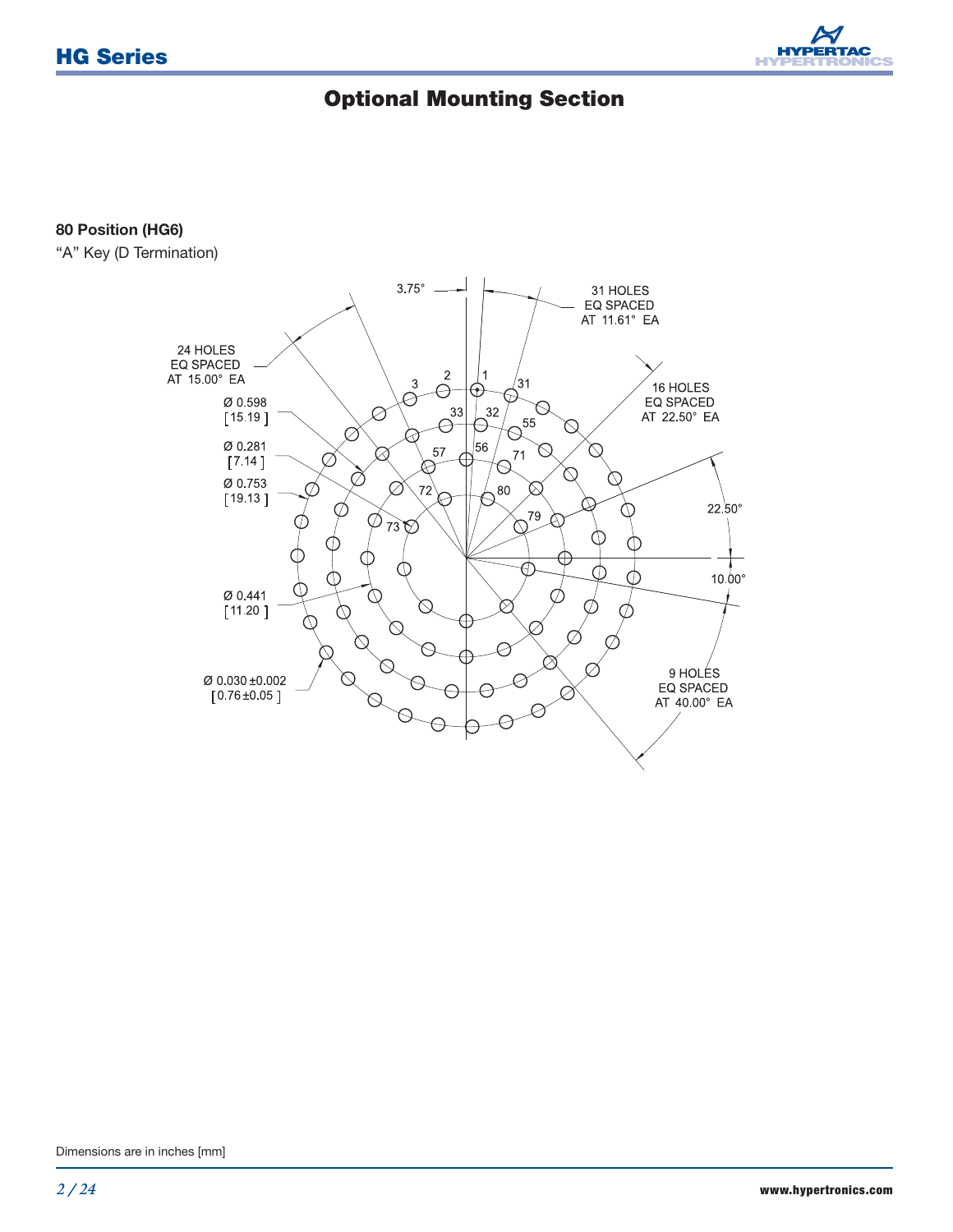

# **Optional Mounting Section**

#### **80 Position (HG6)**

"A" Key (D Termination)

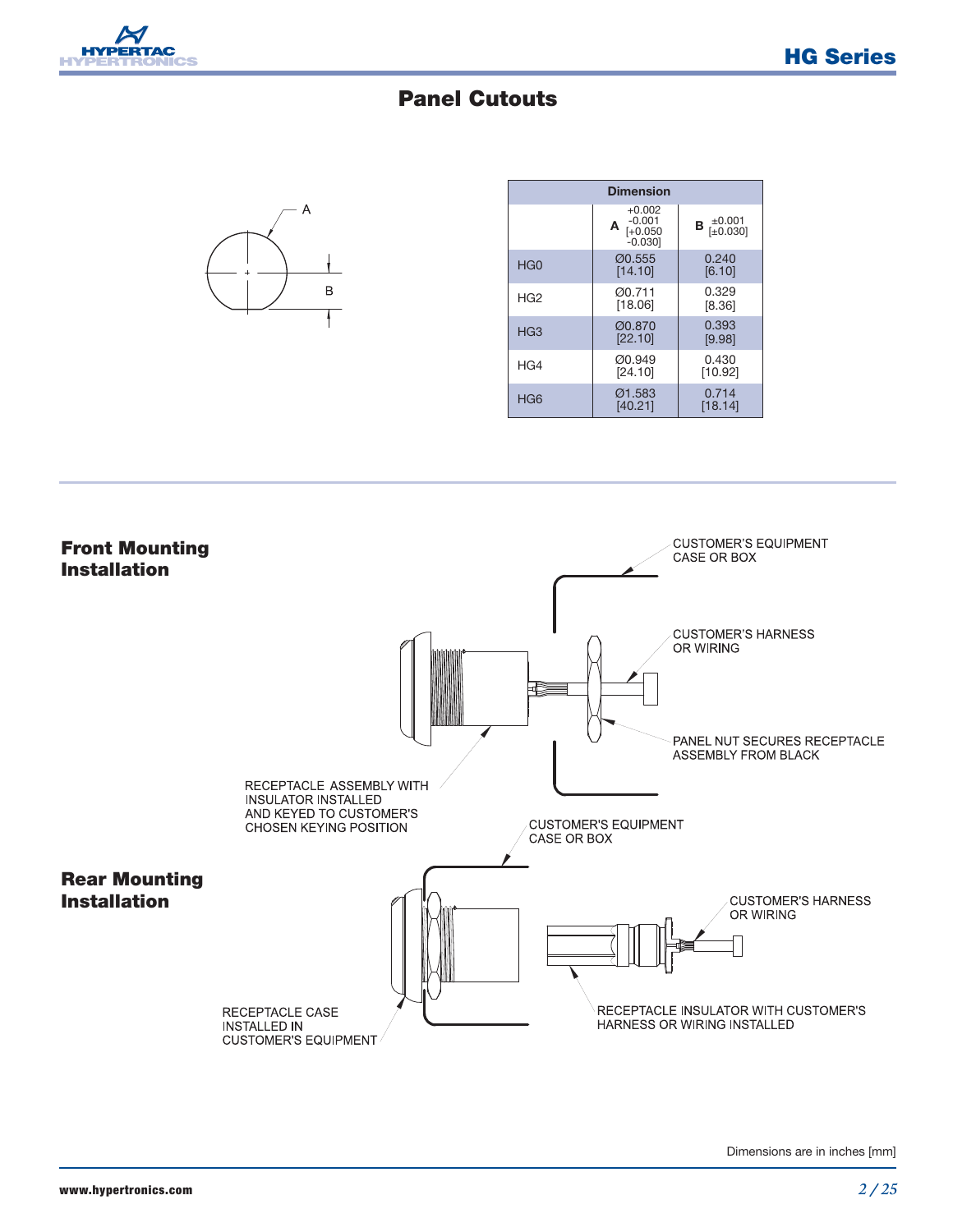

### **Panel Cutouts**



| <b>Dimension</b> |                                                     |                         |
|------------------|-----------------------------------------------------|-------------------------|
|                  | $+0.002$<br>$-0.001$<br>Α<br>$[-0.050]$<br>$-0.030$ | ±0.001<br>[±0.030]<br>В |
| HG <sub>0</sub>  | 00.555<br>[14.10]                                   | 0.240<br>[6.10]         |
| HG <sub>2</sub>  | 00.711<br>[18.06]                                   | 0.329<br>[8.36]         |
| HG <sub>3</sub>  | Ø0.870<br>[22.10]                                   | 0.393<br>[9.98]         |
| HG4              | Ø0.949<br>[24.10]                                   | 0.430<br>[10.92]        |
| HG <sub>6</sub>  | 01.583<br>[40.21]                                   | 0.714<br>[18.14]        |